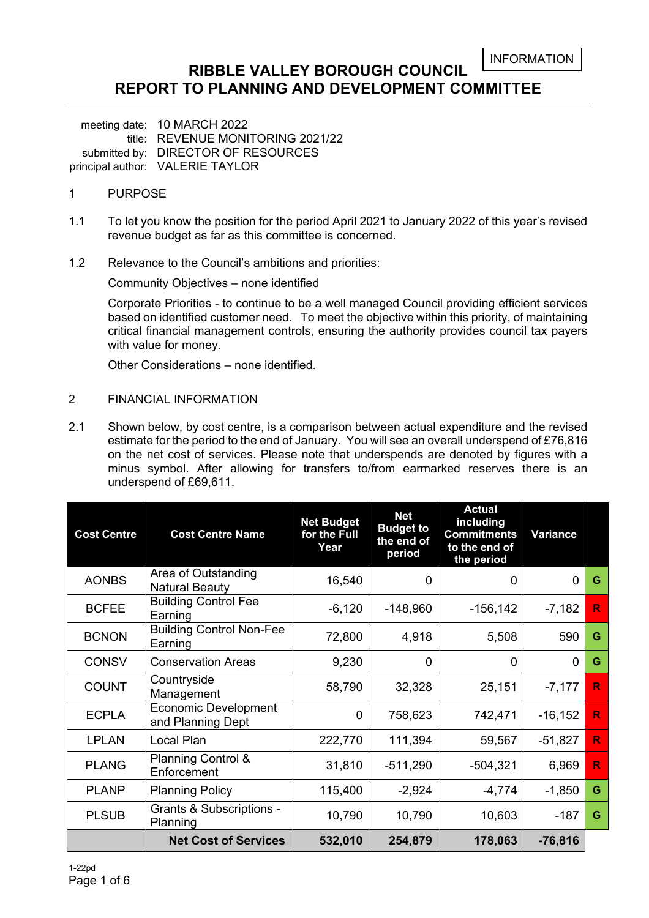### **RIBBLE VALLEY BOROUGH COUNCIL REPORT TO PLANNING AND DEVELOPMENT COMMITTEE**

meeting date: 10 MARCH 2022 title: REVENUE MONITORING 2021/22 submitted by: DIRECTOR OF RESOURCES principal author: VALERIE TAYLOR

#### 1 PURPOSE

- 1.1 To let you know the position for the period April 2021 to January 2022 of this year's revised revenue budget as far as this committee is concerned.
- 1.2 Relevance to the Council's ambitions and priorities:

Community Objectives – none identified

Corporate Priorities - to continue to be a well managed Council providing efficient services based on identified customer need. To meet the objective within this priority, of maintaining critical financial management controls, ensuring the authority provides council tax payers with value for money.

Other Considerations – none identified.

#### 2 FINANCIAL INFORMATION

2.1 Shown below, by cost centre, is a comparison between actual expenditure and the revised estimate for the period to the end of January. You will see an overall underspend of £76,816 on the net cost of services. Please note that underspends are denoted by figures with a minus symbol. After allowing for transfers to/from earmarked reserves there is an underspend of £69,611.

| <b>Cost Centre</b> | <b>Cost Centre Name</b>                          | <b>Net Budget</b><br>for the Full<br>Year | <b>Net</b><br><b>Budget to</b><br>the end of<br>period | <b>Actual</b><br>including<br><b>Commitments</b><br>to the end of<br>the period | <b>Variance</b> |              |
|--------------------|--------------------------------------------------|-------------------------------------------|--------------------------------------------------------|---------------------------------------------------------------------------------|-----------------|--------------|
| <b>AONBS</b>       | Area of Outstanding<br><b>Natural Beauty</b>     | 16,540                                    | 0                                                      | 0                                                                               | 0               | G            |
| <b>BCFEE</b>       | <b>Building Control Fee</b><br>Earning           | $-6,120$                                  | $-148,960$                                             | $-156, 142$                                                                     | $-7,182$        | $\mathbb{R}$ |
| <b>BCNON</b>       | <b>Building Control Non-Fee</b><br>Earning       | 72,800                                    | 4,918                                                  | 5,508                                                                           | 590             | G            |
| <b>CONSV</b>       | <b>Conservation Areas</b>                        | 9,230                                     | 0                                                      | $\Omega$                                                                        | $\Omega$        | G            |
| <b>COUNT</b>       | Countryside<br>Management                        | 58,790                                    | 32,328                                                 | 25,151                                                                          | $-7,177$        | R.           |
| <b>ECPLA</b>       | <b>Economic Development</b><br>and Planning Dept | 0                                         | 758,623                                                | 742,471                                                                         | $-16, 152$      | R            |
| <b>LPLAN</b>       | Local Plan                                       | 222,770                                   | 111,394                                                | 59,567                                                                          | $-51,827$       | R.           |
| <b>PLANG</b>       | <b>Planning Control &amp;</b><br>Enforcement     | 31,810                                    | $-511,290$                                             | $-504,321$                                                                      | 6,969           | $\mathbb{R}$ |
| <b>PLANP</b>       | <b>Planning Policy</b>                           | 115,400                                   | $-2,924$                                               | $-4,774$                                                                        | $-1,850$        | G            |
| <b>PLSUB</b>       | <b>Grants &amp; Subscriptions -</b><br>Planning  | 10,790                                    | 10,790                                                 | 10,603                                                                          | $-187$          | G            |
|                    | <b>Net Cost of Services</b>                      | 532,010                                   | 254,879                                                | 178,063                                                                         | $-76,816$       |              |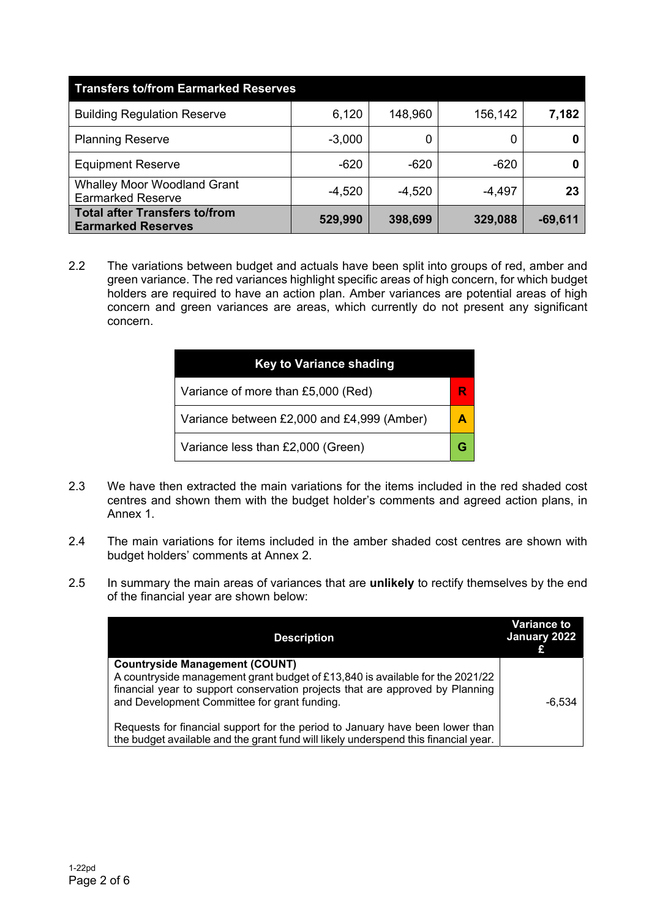| <b>Transfers to/from Earmarked Reserves</b>                    |          |          |          |           |  |  |  |  |
|----------------------------------------------------------------|----------|----------|----------|-----------|--|--|--|--|
| <b>Building Regulation Reserve</b>                             | 6,120    | 148,960  | 156,142  | 7,182     |  |  |  |  |
| <b>Planning Reserve</b>                                        | $-3,000$ |          | 0        |           |  |  |  |  |
| <b>Equipment Reserve</b>                                       | $-620$   | $-620$   | $-620$   |           |  |  |  |  |
| <b>Whalley Moor Woodland Grant</b><br><b>Earmarked Reserve</b> | $-4,520$ | $-4,520$ | $-4,497$ | 23        |  |  |  |  |
| Total after Transfers to/from<br><b>Earmarked Reserves</b>     | 529,990  | 398,699  | 329,088  | $-69,611$ |  |  |  |  |

2.2 The variations between budget and actuals have been split into groups of red, amber and green variance. The red variances highlight specific areas of high concern, for which budget holders are required to have an action plan. Amber variances are potential areas of high concern and green variances are areas, which currently do not present any significant concern.

| <b>Key to Variance shading</b>             |  |  |  |  |  |  |
|--------------------------------------------|--|--|--|--|--|--|
| Variance of more than £5,000 (Red)         |  |  |  |  |  |  |
| Variance between £2,000 and £4,999 (Amber) |  |  |  |  |  |  |
| Variance less than £2,000 (Green)          |  |  |  |  |  |  |

- 2.3 We have then extracted the main variations for the items included in the red shaded cost centres and shown them with the budget holder's comments and agreed action plans, in Annex 1.
- 2.4 The main variations for items included in the amber shaded cost centres are shown with budget holders' comments at Annex 2.
- 2.5 In summary the main areas of variances that are **unlikely** to rectify themselves by the end of the financial year are shown below:

| <b>Description</b>                                                                                                                                                                                                                                      | <b>Variance to</b><br>January 2022 |
|---------------------------------------------------------------------------------------------------------------------------------------------------------------------------------------------------------------------------------------------------------|------------------------------------|
| <b>Countryside Management (COUNT)</b><br>A countryside management grant budget of £13,840 is available for the 2021/22<br>financial year to support conservation projects that are approved by Planning<br>and Development Committee for grant funding. | $-6,534$                           |
| Requests for financial support for the period to January have been lower than<br>the budget available and the grant fund will likely underspend this financial year.                                                                                    |                                    |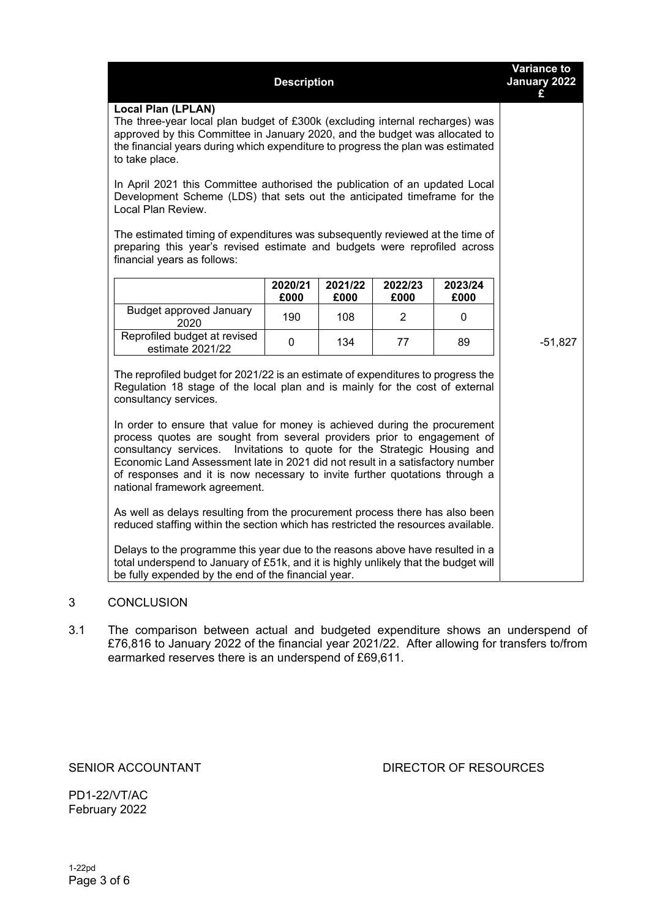|                                                                                                                                                                                                                                                                                                                                                      | <b>Variance to</b><br>January 2022<br>£ |                 |                 |                 |           |  |  |  |
|------------------------------------------------------------------------------------------------------------------------------------------------------------------------------------------------------------------------------------------------------------------------------------------------------------------------------------------------------|-----------------------------------------|-----------------|-----------------|-----------------|-----------|--|--|--|
| <b>Local Plan (LPLAN)</b><br>The three-year local plan budget of £300k (excluding internal recharges) was<br>approved by this Committee in January 2020, and the budget was allocated to<br>the financial years during which expenditure to progress the plan was estimated<br>to take place.                                                        |                                         |                 |                 |                 |           |  |  |  |
| In April 2021 this Committee authorised the publication of an updated Local<br>Development Scheme (LDS) that sets out the anticipated timeframe for the<br>Local Plan Review.                                                                                                                                                                        |                                         |                 |                 |                 |           |  |  |  |
| The estimated timing of expenditures was subsequently reviewed at the time of<br>preparing this year's revised estimate and budgets were reprofiled across<br>financial years as follows:                                                                                                                                                            |                                         |                 |                 |                 |           |  |  |  |
|                                                                                                                                                                                                                                                                                                                                                      | 2020/21<br>£000                         | 2021/22<br>£000 | 2022/23<br>£000 | 2023/24<br>£000 |           |  |  |  |
| <b>Budget approved January</b><br>2020                                                                                                                                                                                                                                                                                                               | 190                                     | 108             | $\overline{2}$  | 0               |           |  |  |  |
| Reprofiled budget at revised<br>estimate 2021/22                                                                                                                                                                                                                                                                                                     | $\mathbf 0$                             | 134             | 77              | 89              | $-51,827$ |  |  |  |
| The reprofiled budget for 2021/22 is an estimate of expenditures to progress the<br>Regulation 18 stage of the local plan and is mainly for the cost of external<br>consultancy services.<br>In order to ensure that value for money is achieved during the procurement                                                                              |                                         |                 |                 |                 |           |  |  |  |
| process quotes are sought from several providers prior to engagement of<br>consultancy services. Invitations to quote for the Strategic Housing and<br>Economic Land Assessment late in 2021 did not result in a satisfactory number<br>of responses and it is now necessary to invite further quotations through a<br>national framework agreement. |                                         |                 |                 |                 |           |  |  |  |
| As well as delays resulting from the procurement process there has also been<br>reduced staffing within the section which has restricted the resources available.                                                                                                                                                                                    |                                         |                 |                 |                 |           |  |  |  |
| Delays to the programme this year due to the reasons above have resulted in a<br>total underspend to January of £51k, and it is highly unlikely that the budget will<br>be fully expended by the end of the financial year.                                                                                                                          |                                         |                 |                 |                 |           |  |  |  |

### 3 CONCLUSION

3.1 The comparison between actual and budgeted expenditure shows an underspend of £76,816 to January 2022 of the financial year 2021/22. After allowing for transfers to/from earmarked reserves there is an underspend of £69,611.

SENIOR ACCOUNTANT DIRECTOR OF RESOURCES

PD1-22/VT/AC February 2022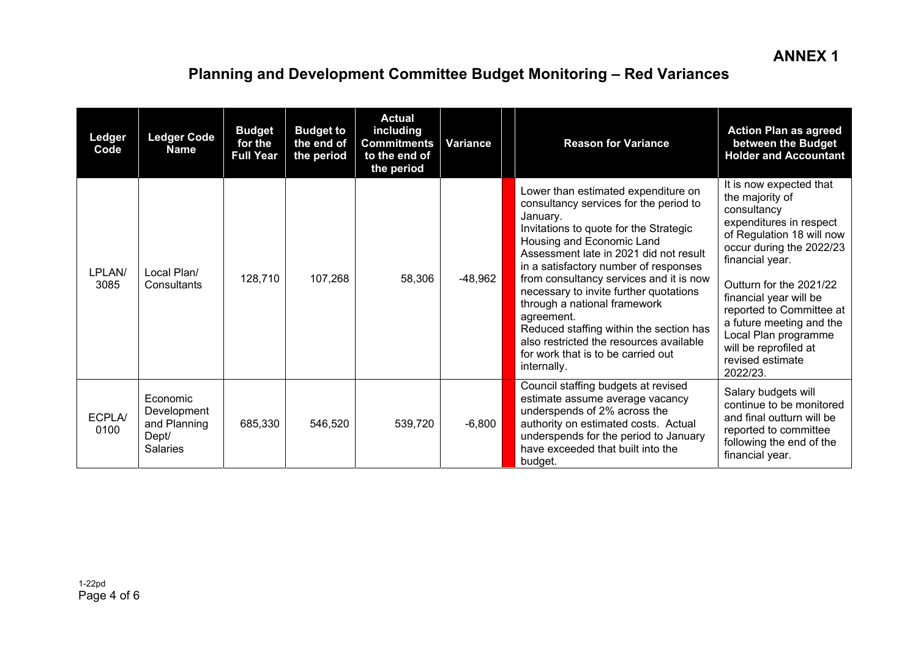# **Planning and Development Committee Budget Monitoring – Red Variances**

| Ledger<br>Code | <b>Ledger Code</b><br><b>Name</b>                                   | <b>Budget</b><br>for the<br><b>Full Year</b> | <b>Budget to</b><br>the end of<br>the period | <b>Actual</b><br>including<br><b>Commitments</b><br>to the end of<br>the period | Variance  | <b>Reason for Variance</b>                                                                                                                                                                                                                                                                                                                                                                                                                                                                                                        | <b>Action Plan as agreed</b><br>between the Budget<br><b>Holder and Accountant</b>                                                                                                                                                                                                                                                                             |
|----------------|---------------------------------------------------------------------|----------------------------------------------|----------------------------------------------|---------------------------------------------------------------------------------|-----------|-----------------------------------------------------------------------------------------------------------------------------------------------------------------------------------------------------------------------------------------------------------------------------------------------------------------------------------------------------------------------------------------------------------------------------------------------------------------------------------------------------------------------------------|----------------------------------------------------------------------------------------------------------------------------------------------------------------------------------------------------------------------------------------------------------------------------------------------------------------------------------------------------------------|
| LPLAN/<br>3085 | Local Plan/<br>Consultants                                          | 128,710                                      | 107,268                                      | 58,306                                                                          | $-48,962$ | Lower than estimated expenditure on<br>consultancy services for the period to<br>January.<br>Invitations to quote for the Strategic<br>Housing and Economic Land<br>Assessment late in 2021 did not result<br>in a satisfactory number of responses<br>from consultancy services and it is now<br>necessary to invite further quotations<br>through a national framework<br>agreement.<br>Reduced staffing within the section has<br>also restricted the resources available<br>for work that is to be carried out<br>internally. | It is now expected that<br>the majority of<br>consultancy<br>expenditures in respect<br>of Regulation 18 will now<br>occur during the 2022/23<br>financial year.<br>Outturn for the 2021/22<br>financial year will be<br>reported to Committee at<br>a future meeting and the<br>Local Plan programme<br>will be reprofiled at<br>revised estimate<br>2022/23. |
| ECPLA/<br>0100 | Economic<br>Development<br>and Planning<br>Dept/<br><b>Salaries</b> | 685,330                                      | 546,520                                      | 539,720                                                                         | $-6,800$  | Council staffing budgets at revised<br>estimate assume average vacancy<br>underspends of 2% across the<br>authority on estimated costs. Actual<br>underspends for the period to January<br>have exceeded that built into the<br>budget.                                                                                                                                                                                                                                                                                           | Salary budgets will<br>continue to be monitored<br>and final outturn will be<br>reported to committee<br>following the end of the<br>financial year.                                                                                                                                                                                                           |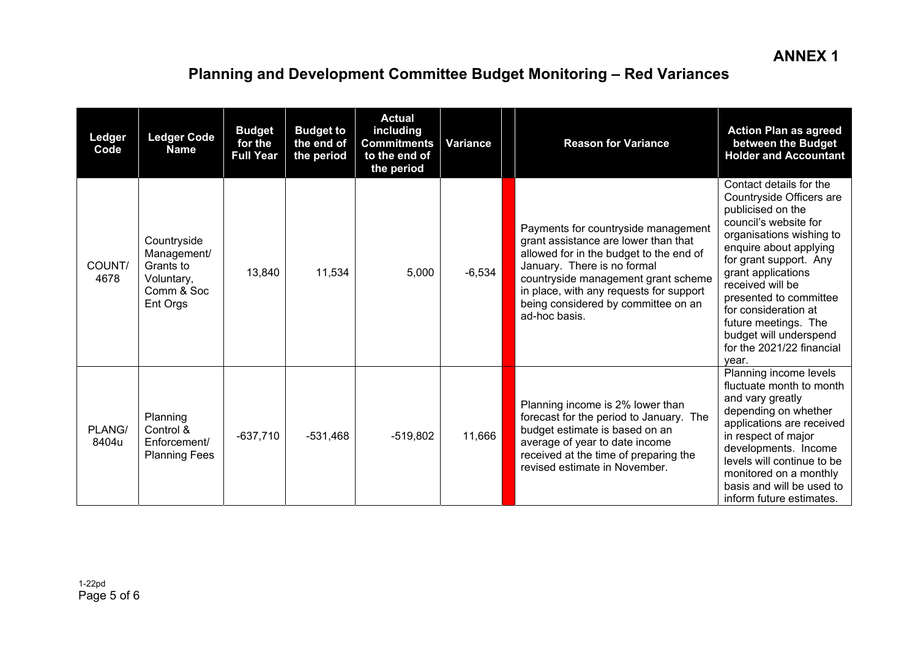# **Planning and Development Committee Budget Monitoring – Red Variances**

| Ledger<br>Code  | <b>Ledger Code</b><br><b>Name</b>                                               | <b>Budget</b><br>for the<br><b>Full Year</b> | <b>Budget to</b><br>the end of<br>the period | <b>Actual</b><br>including<br><b>Commitments</b><br>to the end of<br>the period | <b>Variance</b> | <b>Reason for Variance</b>                                                                                                                                                                                                                                                                      | <b>Action Plan as agreed</b><br>between the Budget<br><b>Holder and Accountant</b>                                                                                                                                                                                                                                                                                    |
|-----------------|---------------------------------------------------------------------------------|----------------------------------------------|----------------------------------------------|---------------------------------------------------------------------------------|-----------------|-------------------------------------------------------------------------------------------------------------------------------------------------------------------------------------------------------------------------------------------------------------------------------------------------|-----------------------------------------------------------------------------------------------------------------------------------------------------------------------------------------------------------------------------------------------------------------------------------------------------------------------------------------------------------------------|
| COUNT/<br>4678  | Countryside<br>Management/<br>Grants to<br>Voluntary,<br>Comm & Soc<br>Ent Orgs | 13,840                                       | 11,534                                       | 5,000                                                                           | $-6,534$        | Payments for countryside management<br>grant assistance are lower than that<br>allowed for in the budget to the end of<br>January. There is no formal<br>countryside management grant scheme<br>in place, with any requests for support<br>being considered by committee on an<br>ad-hoc basis. | Contact details for the<br>Countryside Officers are<br>publicised on the<br>council's website for<br>organisations wishing to<br>enquire about applying<br>for grant support. Any<br>grant applications<br>received will be<br>presented to committee<br>for consideration at<br>future meetings. The<br>budget will underspend<br>for the 2021/22 financial<br>vear. |
| PLANG/<br>8404u | Planning<br>Control &<br>Enforcement/<br><b>Planning Fees</b>                   | $-637,710$                                   | $-531,468$                                   | $-519,802$                                                                      | 11,666          | Planning income is 2% lower than<br>forecast for the period to January. The<br>budget estimate is based on an<br>average of year to date income<br>received at the time of preparing the<br>revised estimate in November.                                                                       | Planning income levels<br>fluctuate month to month<br>and vary greatly<br>depending on whether<br>applications are received<br>in respect of major<br>developments. Income<br>levels will continue to be<br>monitored on a monthly<br>basis and will be used to<br>inform future estimates.                                                                           |